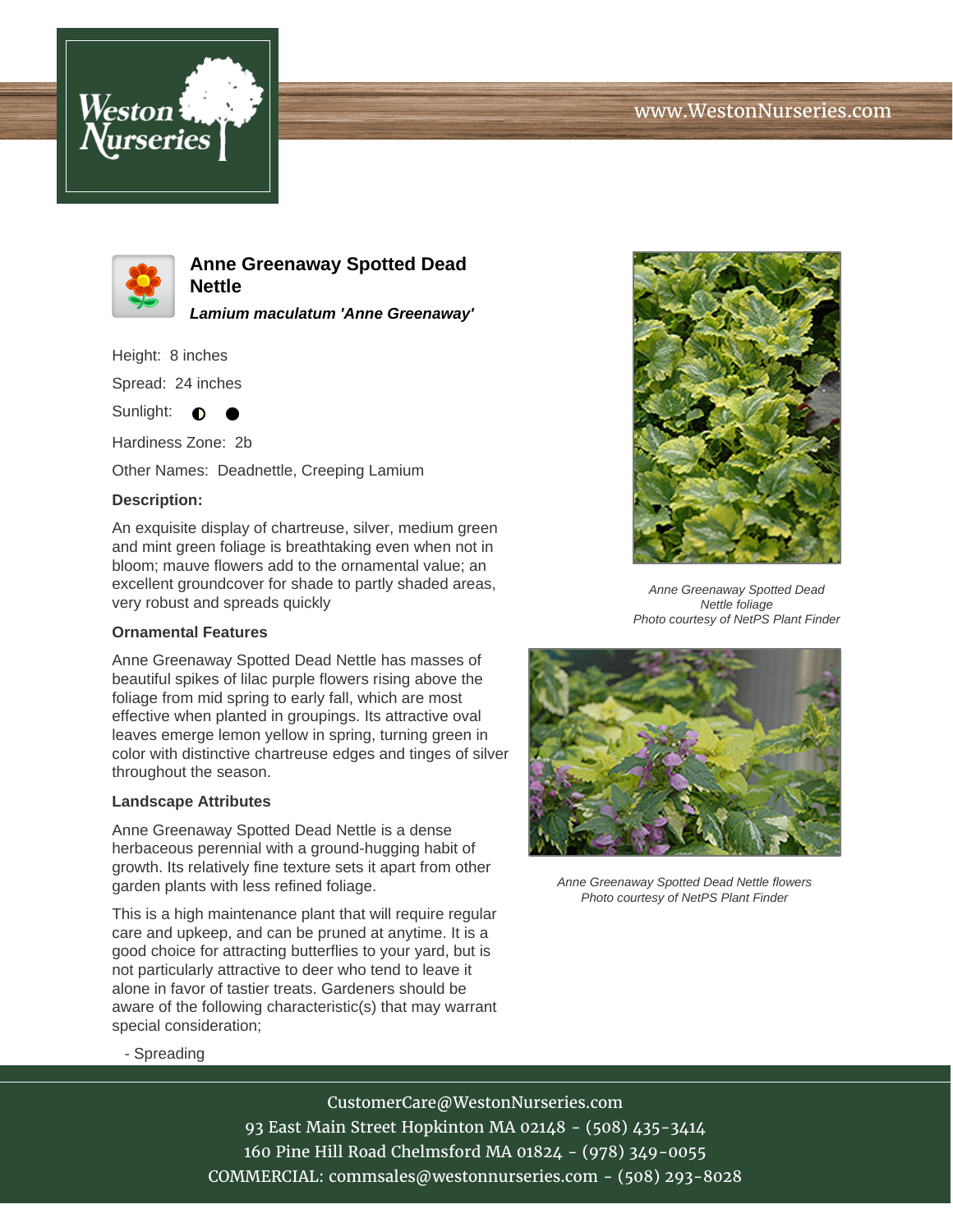



**Anne Greenaway Spotted Dead Nettle**

**Lamium maculatum 'Anne Greenaway'**

Height: 8 inches

Spread: 24 inches

Sunlight:  $\bullet$ 

Hardiness Zone: 2b

Other Names: Deadnettle, Creeping Lamium

# **Description:**

An exquisite display of chartreuse, silver, medium green and mint green foliage is breathtaking even when not in bloom; mauve flowers add to the ornamental value; an excellent groundcover for shade to partly shaded areas, very robust and spreads quickly

### **Ornamental Features**

Anne Greenaway Spotted Dead Nettle has masses of beautiful spikes of lilac purple flowers rising above the foliage from mid spring to early fall, which are most effective when planted in groupings. Its attractive oval leaves emerge lemon yellow in spring, turning green in color with distinctive chartreuse edges and tinges of silver throughout the season.

### **Landscape Attributes**

Anne Greenaway Spotted Dead Nettle is a dense herbaceous perennial with a ground-hugging habit of growth. Its relatively fine texture sets it apart from other garden plants with less refined foliage.

This is a high maintenance plant that will require regular care and upkeep, and can be pruned at anytime. It is a good choice for attracting butterflies to your yard, but is not particularly attractive to deer who tend to leave it alone in favor of tastier treats. Gardeners should be aware of the following characteristic(s) that may warrant special consideration;



Anne Greenaway Spotted Dead Nettle foliage Photo courtesy of NetPS Plant Finder



Anne Greenaway Spotted Dead Nettle flowers Photo courtesy of NetPS Plant Finder

### - Spreading

CustomerCare@WestonNurseries.com 93 East Main Street Hopkinton MA 02148 - (508) 435-3414 160 Pine Hill Road Chelmsford MA 01824 - (978) 349-0055 COMMERCIAL: commsales@westonnurseries.com - (508) 293-8028